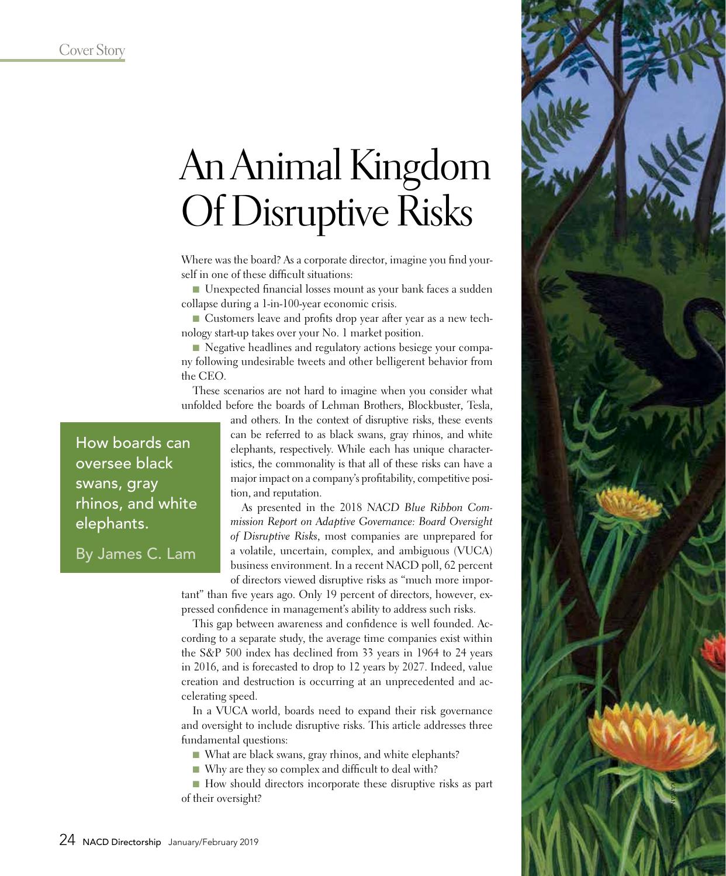# An Animal Kingdom Of Disruptive Risks

Where was the board? As a corporate director, imagine you find your self in one of these difficult situations:

■ Unexpected financial losses mount as your bank faces a sudden collapse during a 1-in-100-year economic crisis.

■ Customers leave and profits drop year after year as a new technology start-up takes over your No. 1 market position.

■ Negative headlines and regulatory actions besiege your company following undesirable tweets and other belligerent behavior from the CEO.

These scenarios are not hard to imagine when you consider what unfolded before the boards of Lehman Brothers, Blockbuster, Tesla,

How boards can oversee black swans, gray rhinos, and white elephants.

By James C. Lam

and others. In the context of disruptive risks, these events can be referred to as black swans, gray rhinos, and white elephants, respectively. While each has unique character istics, the commonality is that all of these risks can have a major impact on a company's profitability, competitive posi tion, and reputation.

As presented in the 2018 *NACD Blue Ribbon Com mission Report on Adaptive Governance: Board Oversight of Disruptive Risks*, most companies are unprepared for a volatile, uncertain, complex, and ambiguous (VUCA) business environment. In a recent NACD poll, 62 percent of directors viewed disruptive risks as "much more impor -

tant" than five years ago. Only 19 percent of directors, however, ex pressed confidence in management's ability to address such risks.

This gap between awareness and confidence is well founded. Ac cording to a separate study, the average time companies exist within the S&P 500 index has declined from 33 years in 1964 to 24 years in 2016, and is forecasted to drop to 12 years by 2027. Indeed, value creation and destruction is occurring at an unprecedented and ac celerating speed.

In a VUCA world, boards need to expand their risk governance and oversight to include disruptive risks. This article addresses three fundamental questions:

- What are black swans, gray rhinos, and white elephants?
- Why are they so complex and difficult to deal with?

■ How should directors incorporate these disruptive risks as part of their oversight?

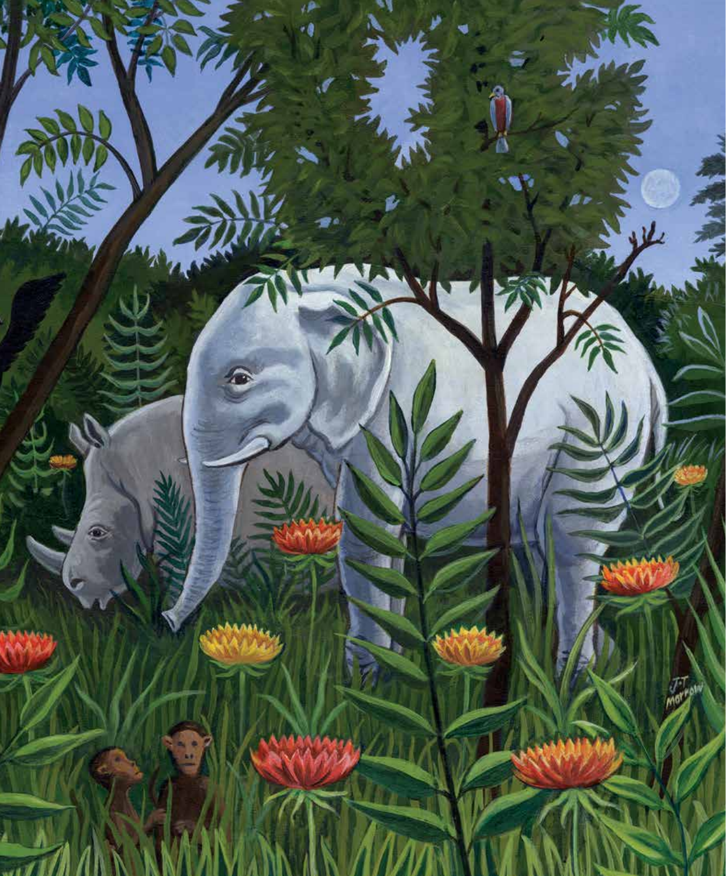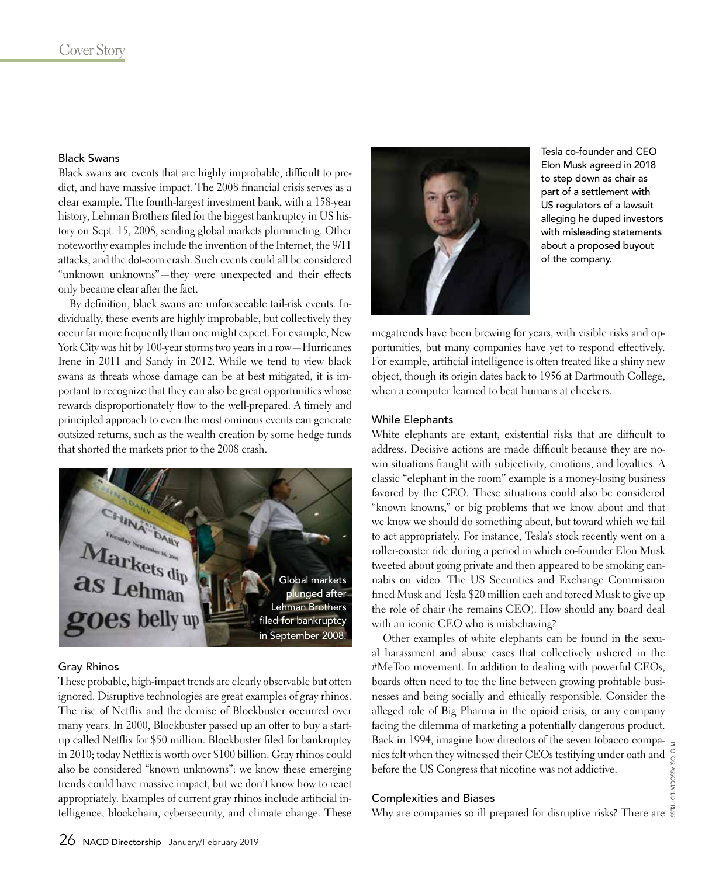## Black Swans

Black swans are events that are highly improbable, difficult to predict, and have massive impact. The 2008 financial crisis serves as a clear example. The fourth-largest investment bank, with a 158-year history, Lehman Brothers filed for the biggest bankruptcy in US history on Sept. 15, 2008, sending global markets plummeting. Other noteworthy examples include the invention of the Internet, the 9/11 attacks, and the dot-com crash. Such events could all be considered "unknown unknowns"—they were unexpected and their effects only became clear after the fact.

By definition, black swans are unforeseeable tail-risk events. Individually, these events are highly improbable, but collectively they occur far more frequently than one might expect. For example, New York City was hit by 100-year storms two years in a row—Hurricanes Irene in 2011 and Sandy in 2012. While we tend to view black swans as threats whose damage can be at best mitigated, it is important to recognize that they can also be great opportunities whose rewards disproportionately flow to the well-prepared. A timely and principled approach to even the most ominous events can generate outsized returns, such as the wealth creation by some hedge funds that shorted the markets prior to the 2008 crash.



## Gray Rhinos

These probable, high-impact trends are clearly observable but often ignored. Disruptive technologies are great examples of gray rhinos. The rise of Netflix and the demise of Blockbuster occurred over many years. In 2000, Blockbuster passed up an offer to buy a startup called Netflix for \$50 million. Blockbuster filed for bankruptcy in 2010; today Netflix is worth over \$100 billion. Gray rhinos could also be considered "known unknowns": we know these emerging trends could have massive impact, but we don't know how to react appropriately. Examples of current gray rhinos include artificial intelligence, blockchain, cybersecurity, and climate change. These



Tesla co-founder and CEO Elon Musk agreed in 2018 to step down as chair as part of a settlement with US regulators of a lawsuit alleging he duped investors with misleading statements about a proposed buyout of the company.

megatrends have been brewing for years, with visible risks and opportunities, but many companies have yet to respond effectively. For example, artificial intelligence is often treated like a shiny new object, though its origin dates back to 1956 at Dartmouth College, when a computer learned to beat humans at checkers.

#### While Elephants

White elephants are extant, existential risks that are difficult to address. Decisive actions are made difficult because they are nowin situations fraught with subjectivity, emotions, and loyalties. A classic "elephant in the room" example is a money-losing business favored by the CEO. These situations could also be considered "known knowns," or big problems that we know about and that we know we should do something about, but toward which we fail to act appropriately. For instance, Tesla's stock recently went on a roller-coaster ride during a period in which co-founder Elon Musk tweeted about going private and then appeared to be smoking cannabis on video. The US Securities and Exchange Commission fined Musk and Tesla \$20 million each and forced Musk to give up the role of chair (he remains CEO). How should any board deal with an iconic CEO who is misbehaving?

Other examples of white elephants can be found in the sexual harassment and abuse cases that collectively ushered in the #MeToo movement. In addition to dealing with powerful CEOs, boards often need to toe the line between growing profitable businesses and being socially and ethically responsible. Consider the alleged role of Big Pharma in the opioid crisis, or any company facing the dilemma of marketing a potentially dangerous product. Back in 1994, imagine how directors of the seven tobacco compa-Back in 1994, imagine how directors of the seven tobacco compa-<br>nies felt when they witnessed their CEOs testifying under oath and  $\frac{3}{9}$ before the US Congress that nicotine was not addictive.

#### Complexities and Biases

Why are companies so ill prepared for disruptive risks? There are PHOTOS: ASSOCIATED PRESS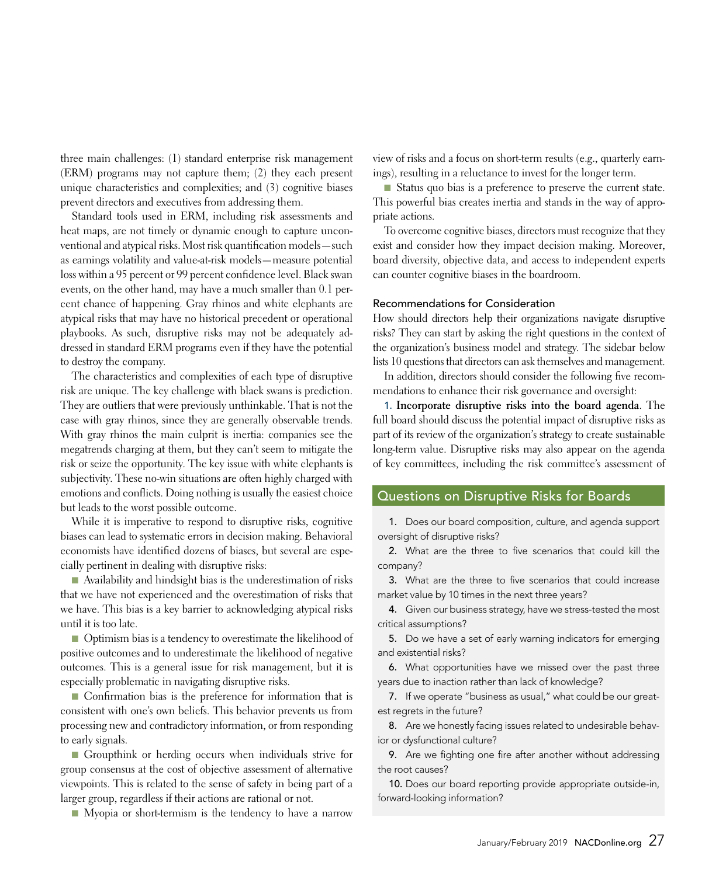three main challenges: (1) standard enterprise risk management (ERM) programs may not capture them; (2) they each present unique characteristics and complexities; and (3) cognitive biases prevent directors and executives from addressing them.

Standard tools used in ERM, including risk assessments and heat maps, are not timely or dynamic enough to capture unconventional and atypical risks. Most risk quantification models—such as earnings volatility and value-at-risk models—measure potential loss within a 95 percent or 99 percent confidence level. Black swan events, on the other hand, may have a much smaller than 0.1 percent chance of happening. Gray rhinos and white elephants are atypical risks that may have no historical precedent or operational playbooks. As such, disruptive risks may not be adequately addressed in standard ERM programs even if they have the potential to destroy the company.

The characteristics and complexities of each type of disruptive risk are unique. The key challenge with black swans is prediction. They are outliers that were previously unthinkable. That is not the case with gray rhinos, since they are generally observable trends. With gray rhinos the main culprit is inertia: companies see the megatrends charging at them, but they can't seem to mitigate the risk or seize the opportunity. The key issue with white elephants is subjectivity. These no-win situations are often highly charged with emotions and conflicts. Doing nothing is usually the easiest choice but leads to the worst possible outcome.

While it is imperative to respond to disruptive risks, cognitive biases can lead to systematic errors in decision making. Behavioral economists have identified dozens of biases, but several are especially pertinent in dealing with disruptive risks:

■ Availability and hindsight bias is the underestimation of risks that we have not experienced and the overestimation of risks that we have. This bias is a key barrier to acknowledging atypical risks until it is too late.

■ Optimism bias is a tendency to overestimate the likelihood of positive outcomes and to underestimate the likelihood of negative outcomes. This is a general issue for risk management, but it is especially problematic in navigating disruptive risks.

■ Confirmation bias is the preference for information that is consistent with one's own beliefs. This behavior prevents us from processing new and contradictory information, or from responding to early signals.

■ Groupthink or herding occurs when individuals strive for group consensus at the cost of objective assessment of alternative viewpoints. This is related to the sense of safety in being part of a larger group, regardless if their actions are rational or not.

■ Myopia or short-termism is the tendency to have a narrow

view of risks and a focus on short-term results (e.g., quarterly earnings), resulting in a reluctance to invest for the longer term.

■ Status quo bias is a preference to preserve the current state. This powerful bias creates inertia and stands in the way of appropriate actions.

To overcome cognitive biases, directors must recognize that they exist and consider how they impact decision making. Moreover, board diversity, objective data, and access to independent experts can counter cognitive biases in the boardroom.

#### Recommendations for Consideration

How should directors help their organizations navigate disruptive risks? They can start by asking the right questions in the context of the organization's business model and strategy. The sidebar below lists 10 questions that directors can ask themselves and management.

In addition, directors should consider the following five recommendations to enhance their risk governance and oversight:

1. **Incorporate disruptive risks into the board agenda**. The full board should discuss the potential impact of disruptive risks as part of its review of the organization's strategy to create sustainable long-term value. Disruptive risks may also appear on the agenda of key committees, including the risk committee's assessment of

#### Questions on Disruptive Risks for Boards

1. Does our board composition, culture, and agenda support oversight of disruptive risks?

2. What are the three to five scenarios that could kill the company?

3. What are the three to five scenarios that could increase market value by 10 times in the next three years?

4. Given our business strategy, have we stress-tested the most critical assumptions?

5. Do we have a set of early warning indicators for emerging and existential risks?

6. What opportunities have we missed over the past three years due to inaction rather than lack of knowledge?

7. If we operate "business as usual," what could be our greatest regrets in the future?

8. Are we honestly facing issues related to undesirable behavior or dysfunctional culture?

9. Are we fighting one fire after another without addressing the root causes?

10. Does our board reporting provide appropriate outside-in, forward-looking information?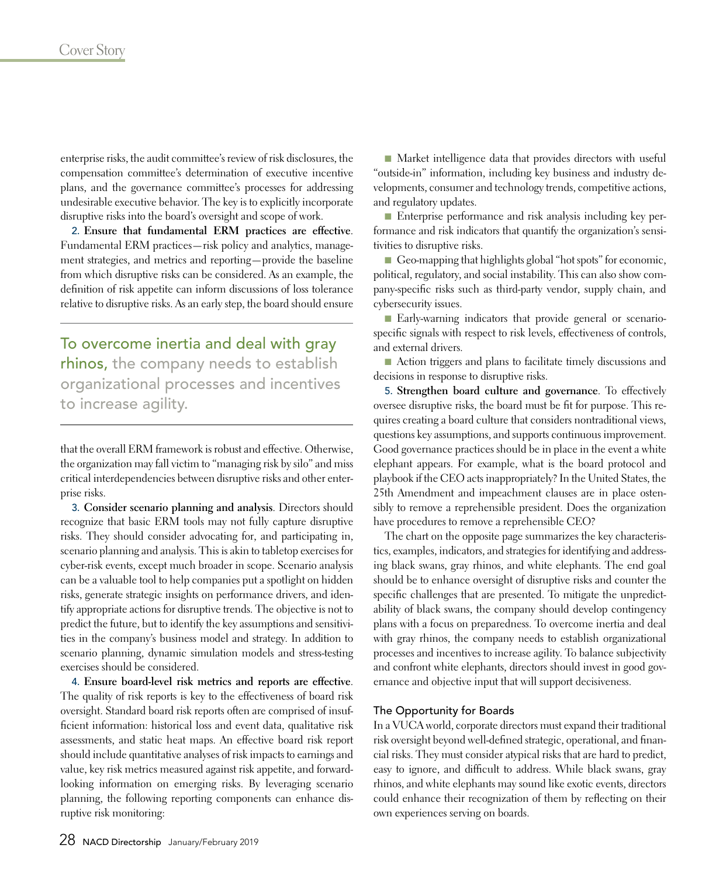enterprise risks, the audit committee's review of risk disclosures, the compensation committee's determination of executive incentive plans, and the governance committee's processes for addressing undesirable executive behavior. The key is to explicitly incorporate disruptive risks into the board's oversight and scope of work.

2. **Ensure that fundamental ERM practices are effective**. Fundamental ERM practices—risk policy and analytics, management strategies, and metrics and reporting—provide the baseline from which disruptive risks can be considered. As an example, the definition of risk appetite can inform discussions of loss tolerance relative to disruptive risks. As an early step, the board should ensure

To overcome inertia and deal with gray rhinos, the company needs to establish organizational processes and incentives to increase agility.

that the overall ERM framework is robust and effective. Otherwise, the organization may fall victim to "managing risk by silo" and miss critical interdependencies between disruptive risks and other enterprise risks.

3. **Consider scenario planning and analysis**. Directors should recognize that basic ERM tools may not fully capture disruptive risks. They should consider advocating for, and participating in, scenario planning and analysis. This is akin to tabletop exercises for cyber-risk events, except much broader in scope. Scenario analysis can be a valuable tool to help companies put a spotlight on hidden risks, generate strategic insights on performance drivers, and identify appropriate actions for disruptive trends. The objective is not to predict the future, but to identify the key assumptions and sensitivities in the company's business model and strategy. In addition to scenario planning, dynamic simulation models and stress-testing exercises should be considered.

4. **Ensure board-level risk metrics and reports are effective**. The quality of risk reports is key to the effectiveness of board risk oversight. Standard board risk reports often are comprised of insufficient information: historical loss and event data, qualitative risk assessments, and static heat maps. An effective board risk report should include quantitative analyses of risk impacts to earnings and value, key risk metrics measured against risk appetite, and forwardlooking information on emerging risks. By leveraging scenario planning, the following reporting components can enhance disruptive risk monitoring:

■ Market intelligence data that provides directors with useful "outside-in" information, including key business and industry developments, consumer and technology trends, competitive actions, and regulatory updates.

■ Enterprise performance and risk analysis including key performance and risk indicators that quantify the organization's sensitivities to disruptive risks.

■ Geo-mapping that highlights global "hot spots" for economic, political, regulatory, and social instability. This can also show company-specific risks such as third-party vendor, supply chain, and cybersecurity issues.

■ Early-warning indicators that provide general or scenariospecific signals with respect to risk levels, effectiveness of controls, and external drivers.

■ Action triggers and plans to facilitate timely discussions and decisions in response to disruptive risks.

5. **Strengthen board culture and governance**. To effectively oversee disruptive risks, the board must be fit for purpose. This requires creating a board culture that considers nontraditional views, questions key assumptions, and supports continuous improvement. Good governance practices should be in place in the event a white elephant appears. For example, what is the board protocol and playbook if the CEO acts inappropriately? In the United States, the 25th Amendment and impeachment clauses are in place ostensibly to remove a reprehensible president. Does the organization have procedures to remove a reprehensible CEO?

The chart on the opposite page summarizes the key characteristics, examples, indicators, and strategies for identifying and addressing black swans, gray rhinos, and white elephants. The end goal should be to enhance oversight of disruptive risks and counter the specific challenges that are presented. To mitigate the unpredictability of black swans, the company should develop contingency plans with a focus on preparedness. To overcome inertia and deal with gray rhinos, the company needs to establish organizational processes and incentives to increase agility. To balance subjectivity and confront white elephants, directors should invest in good governance and objective input that will support decisiveness.

#### The Opportunity for Boards

In a VUCA world, corporate directors must expand their traditional risk oversight beyond well-defined strategic, operational, and financial risks. They must consider atypical risks that are hard to predict, easy to ignore, and difficult to address. While black swans, gray rhinos, and white elephants may sound like exotic events, directors could enhance their recognization of them by reflecting on their own experiences serving on boards.